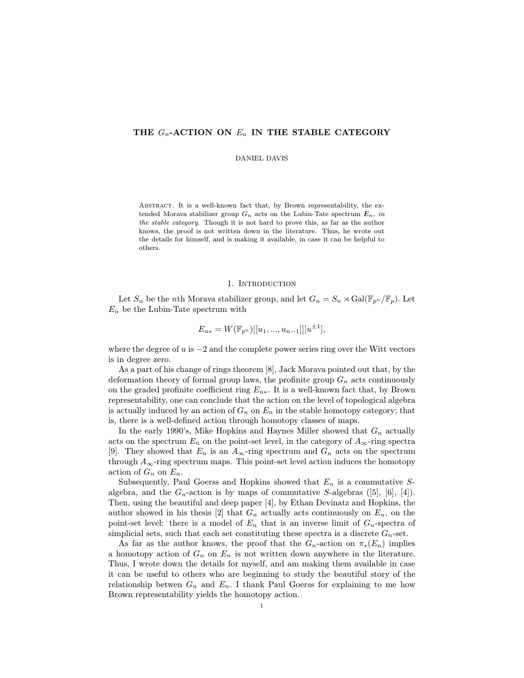# THE  $G_n$ -ACTION ON  $E_n$  IN THE STABLE CATEGORY

### DANIEL DAVIS

Abstract. It is a well-known fact that, by Brown representability, the extended Morava stabilizer group  $G_n$  acts on the Lubin-Tate spectrum  $E_n$ , in the stable category. Though it is not hard to prove this, as far as the author knows, the proof is not written down in the literature. Thus, he wrote out the details for himself, and is making it available, in case it can be helpful to others.

#### 1. INTRODUCTION

Let  $S_n$  be the *n*th Morava stabilizer group, and let  $G_n = S_n \rtimes Gal(\mathbb{F}_{p^n}/\mathbb{F}_p)$ . Let  $E_n$  be the Lubin-Tate spectrum with

$$
E_{n*} = W(\mathbb{F}_{p^n})[[u_1, ..., u_{n-1}]][u^{\pm 1}],
$$

where the degree of  $u$  is  $-2$  and the complete power series ring over the Witt vectors is in degree zero.

As a part of his change of rings theorem [8], Jack Morava pointed out that, by the deformation theory of formal group laws, the profinite group  $G_n$  acts continuously on the graded profinite coefficient ring  $E_{n*}$ . It is a well-known fact that, by Brown representability, one can conclude that the action on the level of topological algebra is actually induced by an action of  $G_n$  on  $E_n$  in the stable homotopy category; that is, there is a well-defined action through homotopy classes of maps.

In the early 1990's, Mike Hopkins and Haynes Miller showed that  $G_n$  actually acts on the spectrum  $E_n$  on the point-set level, in the category of  $A_\infty$ -ring spectra [9]. They showed that  $E_n$  is an  $A_{\infty}$ -ring spectrum and  $G_n$  acts on the spectrum through  $A_{\infty}$ -ring spectrum maps. This point-set level action induces the homotopy action of  $G_n$  on  $E_n$ .

Subsequently, Paul Goerss and Hopkins showed that  $E_n$  is a commutative Salgebra, and the  $G_n$ -action is by maps of commutative S-algebras ([5], [6], [4]). Then, using the beautiful and deep paper [4], by Ethan Devinatz and Hopkins, the author showed in his thesis [2] that  $G_n$  actually acts continuously on  $E_n$ , on the point-set level: there is a model of  $E_n$  that is an inverse limit of  $G_n$ -spectra of simplicial sets, such that each set constituting these spectra is a discrete  $G_n$ -set.

As far as the author knows, the proof that the  $G_n$ -action on  $\pi_*(E_n)$  implies a homotopy action of  $G_n$  on  $E_n$  is not written down anywhere in the literature. Thus, I wrote down the details for myself, and am making them available in case it can be useful to others who are beginning to study the beautiful story of the relationship betwen  $G_n$  and  $E_n$ . I thank Paul Goerss for explaining to me how Brown representability yields the homotopy action.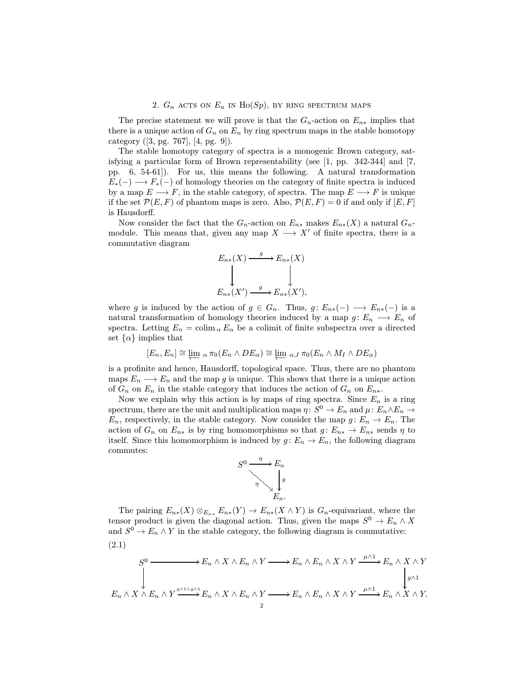## 2.  $G_n$  acts on  $E_n$  in  $Ho(Sp)$ , by ring spectrum maps

The precise statement we will prove is that the  $G_n$ -action on  $E_{n*}$  implies that there is a unique action of  $G_n$  on  $E_n$  by ring spectrum maps in the stable homotopy category ([3, pg. 767], [4, pg. 9]).

The stable homotopy category of spectra is a monogenic Brown category, satisfying a particular form of Brown representability (see  $[1, pp. 342-344]$  and  $[7,$ pp. 6, 54-61]). For us, this means the following. A natural transformation  $E_*(-) \longrightarrow F_*(-)$  of homology theories on the category of finite spectra is induced by a map  $E \longrightarrow F$ , in the stable category, of spectra. The map  $E \longrightarrow F$  is unique if the set  $\mathcal{P}(E,F)$  of phantom maps is zero. Also,  $\mathcal{P}(E,F) = 0$  if and only if  $[E,F]$ is Hausdorff.

Now consider the fact that the  $G_n$ -action on  $E_{n*}$  makes  $E_{n*}(X)$  a natural  $G_n$ module. This means that, given any map  $X \longrightarrow X'$  of finite spectra, there is a commutative diagram

$$
E_{n*}(X) \xrightarrow{g} E_{n*}(X)
$$
  
\n
$$
\downarrow \qquad \qquad \downarrow
$$
  
\n
$$
E_{n*}(X') \xrightarrow{g} E_{n*}(X'),
$$

where g is induced by the action of  $g \in G_n$ . Thus,  $g: E_{n*}(-) \longrightarrow E_{n*}(-)$  is a natural transformation of homology theories induced by a map  $g: E_n \longrightarrow E_n$  of spectra. Letting  $E_n = \text{colim}_{\alpha} E_{\alpha}$  be a colimit of finite subspectra over a directed set  $\{\alpha\}$  implies that

$$
[E_n, E_n] \cong \varprojlim \, {}_{\alpha} \pi_0(E_n \wedge DE_{\alpha}) \cong \varprojlim \, {}_{\alpha,I} \pi_0(E_n \wedge M_I \wedge DE_{\alpha})
$$

is a profinite and hence, Hausdorff, topological space. Thus, there are no phantom maps  $E_n \longrightarrow E_n$  and the map g is unique. This shows that there is a unique action of  $G_n$  on  $E_n$  in the stable category that induces the action of  $G_n$  on  $E_{n*}$ .

Now we explain why this action is by maps of ring spectra. Since  $E_n$  is a ring spectrum, there are the unit and multiplication maps  $\eta: S^0 \to E_n$  and  $\mu: E_n \wedge E_n \to$  $E_n$ , respectively, in the stable category. Now consider the map  $g: E_n \to E_n$ . The action of  $G_n$  on  $E_{n*}$  is by ring homomorphisms so that  $g: E_{n*} \to E_{n*}$  sends  $\eta$  to itself. Since this homomorphism is induced by  $g: E_n \to E_n$ , the following diagram commutes:



The pairing  $E_{n*}(X) \otimes_{E_{n*}} E_{n*}(Y) \to E_{n*}(X \wedge Y)$  is  $G_n$ -equivariant, where the tensor product is given the diagonal action. Thus, given the maps  $S^0 \to E_n \wedge X$ and  $S^0 \to E_n \wedge Y$  in the stable category, the following diagram is commutative: (2.1)

$$
E_n \wedge X \wedge E_n \wedge Y \longrightarrow E_n \wedge E_n \wedge Y \longrightarrow E_n \wedge X \wedge Y \xrightarrow{\mu \wedge 1} E_n \wedge X \wedge Y
$$
  

$$
E_n \wedge X \wedge E_n \wedge Y \xrightarrow{g \wedge 1 \wedge g \wedge 1} E_n \wedge X \wedge E_n \wedge Y \longrightarrow E_n \wedge E_n \wedge X \wedge Y \xrightarrow{\mu \wedge 1} E_n \wedge X \wedge Y.
$$